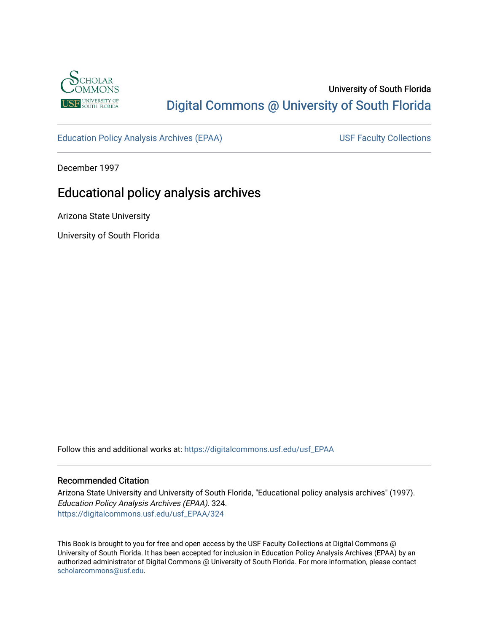

# University of South Florida [Digital Commons @ University of South Florida](https://digitalcommons.usf.edu/)

[Education Policy Analysis Archives \(EPAA\)](https://digitalcommons.usf.edu/usf_EPAA) USF Faculty Collections

December 1997

# Educational policy analysis archives

Arizona State University

University of South Florida

Follow this and additional works at: [https://digitalcommons.usf.edu/usf\\_EPAA](https://digitalcommons.usf.edu/usf_EPAA?utm_source=digitalcommons.usf.edu%2Fusf_EPAA%2F324&utm_medium=PDF&utm_campaign=PDFCoverPages)

## Recommended Citation

Arizona State University and University of South Florida, "Educational policy analysis archives" (1997). Education Policy Analysis Archives (EPAA). 324. [https://digitalcommons.usf.edu/usf\\_EPAA/324](https://digitalcommons.usf.edu/usf_EPAA/324?utm_source=digitalcommons.usf.edu%2Fusf_EPAA%2F324&utm_medium=PDF&utm_campaign=PDFCoverPages)

This Book is brought to you for free and open access by the USF Faculty Collections at Digital Commons @ University of South Florida. It has been accepted for inclusion in Education Policy Analysis Archives (EPAA) by an authorized administrator of Digital Commons @ University of South Florida. For more information, please contact [scholarcommons@usf.edu.](mailto:scholarcommons@usf.edu)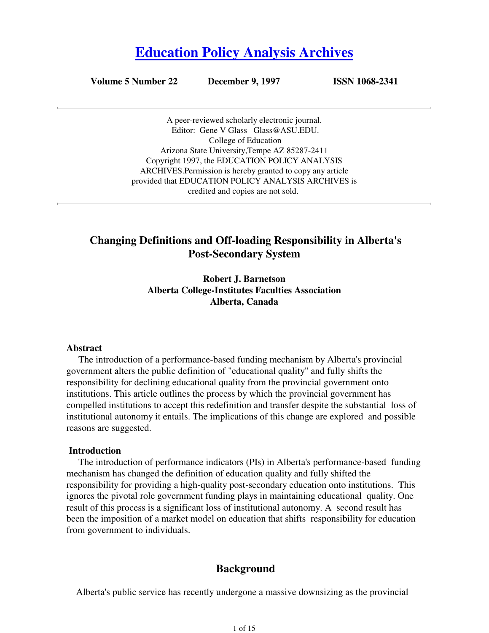# **Education Policy Analysis Archives**

**Volume 5 Number 22 December 9, 1997 ISSN 1068-2341**

A peer-reviewed scholarly electronic journal. Editor: Gene V Glass Glass@ASU.EDU. College of Education Arizona State University,Tempe AZ 85287-2411 Copyright 1997, the EDUCATION POLICY ANALYSIS ARCHIVES.Permission is hereby granted to copy any article provided that EDUCATION POLICY ANALYSIS ARCHIVES is credited and copies are not sold.

# **Changing Definitions and Off-loading Responsibility in Alberta's Post-Secondary System**

**Robert J. Barnetson Alberta College-Institutes Faculties Association Alberta, Canada**

#### **Abstract**

 The introduction of a performance-based funding mechanism by Alberta's provincial government alters the public definition of "educational quality" and fully shifts the responsibility for declining educational quality from the provincial government onto institutions. This article outlines the process by which the provincial government has compelled institutions to accept this redefinition and transfer despite the substantial loss of institutional autonomy it entails. The implications of this change are explored and possible reasons are suggested.

#### **Introduction**

 The introduction of performance indicators (PIs) in Alberta's performance-based funding mechanism has changed the definition of education quality and fully shifted the responsibility for providing a high-quality post-secondary education onto institutions. This ignores the pivotal role government funding plays in maintaining educational quality. One result of this process is a significant loss of institutional autonomy. A second result has been the imposition of a market model on education that shifts responsibility for education from government to individuals.

# **Background**

Alberta's public service has recently undergone a massive downsizing as the provincial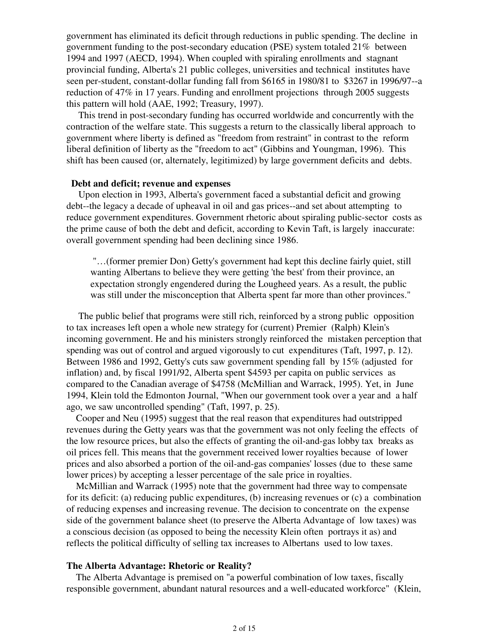government has eliminated its deficit through reductions in public spending. The decline in government funding to the post-secondary education (PSE) system totaled  $21\%$  between 1994 and 1997 (AECD, 1994). When coupled with spiraling enrollments and stagnant provincial funding, Alberta's 21 public colleges, universities and technical institutes have seen per-student, constant-dollar funding fall from \$6165 in 1980/81 to \$3267 in 1996/97--a reduction of 47% in 17 years. Funding and enrollment projections through 2005 suggests this pattern will hold (AAE, 1992; Treasury, 1997).

 This trend in post-secondary funding has occurred worldwide and concurrently with the contraction of the welfare state. This suggests a return to the classically liberal approach to government where liberty is defined as "freedom from restraint" in contrast to the reform liberal definition of liberty as the "freedom to act" (Gibbins and Youngman, 1996). This shift has been caused (or, alternately, legitimized) by large government deficits and debts.

## **Debt and deficit; revenue and expenses**

 Upon election in 1993, Alberta's government faced a substantial deficit and growing debt--the legacy a decade of upheaval in oil and gas prices--and set about attempting to reduce government expenditures. Government rhetoric about spiraling public-sector costs as the prime cause of both the debt and deficit, according to Kevin Taft, is largely inaccurate: overall government spending had been declining since 1986.

 "…(former premier Don) Getty's government had kept this decline fairly quiet, still wanting Albertans to believe they were getting 'the best' from their province, an expectation strongly engendered during the Lougheed years. As a result, the public was still under the misconception that Alberta spent far more than other provinces."

 The public belief that programs were still rich, reinforced by a strong public opposition to tax increases left open a whole new strategy for (current) Premier (Ralph) Klein's incoming government. He and his ministers strongly reinforced the mistaken perception that spending was out of control and argued vigorously to cut expenditures (Taft, 1997, p. 12). Between 1986 and 1992, Getty's cuts saw government spending fall by 15% (adjusted for inflation) and, by fiscal 1991/92, Alberta spent \$4593 per capita on public services as compared to the Canadian average of \$4758 (McMillian and Warrack, 1995). Yet, in June 1994, Klein told the Edmonton Journal, "When our government took over a year and a half ago, we saw uncontrolled spending" (Taft, 1997, p. 25).

 Cooper and Neu (1995) suggest that the real reason that expenditures had outstripped revenues during the Getty years was that the government was not only feeling the effects of the low resource prices, but also the effects of granting the oil-and-gas lobby tax breaks as oil prices fell. This means that the government received lower royalties because of lower prices and also absorbed a portion of the oil-and-gas companies' losses (due to these same lower prices) by accepting a lesser percentage of the sale price in royalties.

 McMillian and Warrack (1995) note that the government had three way to compensate for its deficit: (a) reducing public expenditures, (b) increasing revenues or (c) a combination of reducing expenses and increasing revenue. The decision to concentrate on the expense side of the government balance sheet (to preserve the Alberta Advantage of low taxes) was a conscious decision (as opposed to being the necessity Klein often portrays it as) and reflects the political difficulty of selling tax increases to Albertans used to low taxes.

## **The Alberta Advantage: Rhetoric or Reality?**

 The Alberta Advantage is premised on "a powerful combination of low taxes, fiscally responsible government, abundant natural resources and a well-educated workforce" (Klein,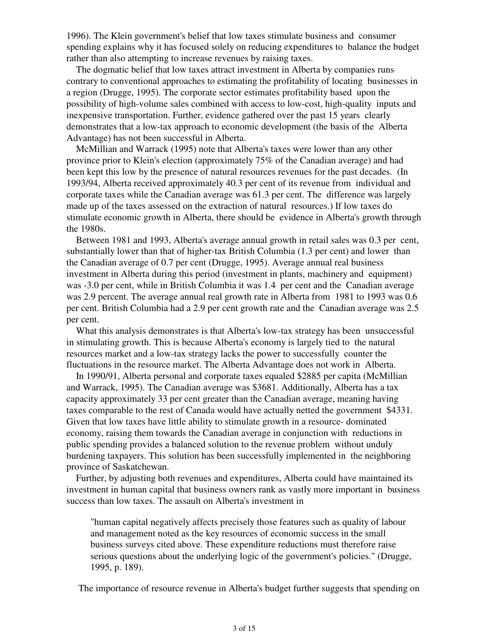1996). The Klein government's belief that low taxes stimulate business and consumer spending explains why it has focused solely on reducing expenditures to balance the budget rather than also attempting to increase revenues by raising taxes.

 The dogmatic belief that low taxes attract investment in Alberta by companies runs contrary to conventional approaches to estimating the profitability of locating businesses in a region (Drugge, 1995). The corporate sector estimates profitability based upon the possibility of high-volume sales combined with access to low-cost, high-quality inputs and inexpensive transportation. Further, evidence gathered over the past 15 years clearly demonstrates that a low-tax approach to economic development (the basis of the Alberta Advantage) has not been successful in Alberta.

 McMillian and Warrack (1995) note that Alberta's taxes were lower than any other province prior to Klein's election (approximately 75% of the Canadian average) and had been kept this low by the presence of natural resources revenues for the past decades. (In 1993/94, Alberta received approximately 40.3 per cent of its revenue from individual and corporate taxes while the Canadian average was 61.3 per cent. The difference was largely made up of the taxes assessed on the extraction of natural resources.) If low taxes do stimulate economic growth in Alberta, there should be evidence in Alberta's growth through the 1980s.

 Between 1981 and 1993, Alberta's average annual growth in retail sales was 0.3 per cent, substantially lower than that of higher-tax British Columbia (1.3 per cent) and lower than the Canadian average of 0.7 per cent (Drugge, 1995). Average annual real business investment in Alberta during this period (investment in plants, machinery and equipment) was -3.0 per cent, while in British Columbia it was 1.4 per cent and the Canadian average was 2.9 percent. The average annual real growth rate in Alberta from 1981 to 1993 was 0.6 per cent. British Columbia had a 2.9 per cent growth rate and the Canadian average was 2.5 per cent.

 What this analysis demonstrates is that Alberta's low-tax strategy has been unsuccessful in stimulating growth. This is because Alberta's economy is largely tied to the natural resources market and a low-tax strategy lacks the power to successfully counter the fluctuations in the resource market. The Alberta Advantage does not work in Alberta.

 In 1990/91, Alberta personal and corporate taxes equaled \$2885 per capita (McMillian and Warrack, 1995). The Canadian average was \$3681. Additionally, Alberta has a tax capacity approximately 33 per cent greater than the Canadian average, meaning having taxes comparable to the rest of Canada would have actually netted the government \$4331. Given that low taxes have little ability to stimulate growth in a resource- dominated economy, raising them towards the Canadian average in conjunction with reductions in public spending provides a balanced solution to the revenue problem without unduly burdening taxpayers. This solution has been successfully implemented in the neighboring province of Saskatchewan.

 Further, by adjusting both revenues and expenditures, Alberta could have maintained its investment in human capital that business owners rank as vastly more important in business success than low taxes. The assault on Alberta's investment in

"human capital negatively affects precisely those features such as quality of labour and management noted as the key resources of economic success in the small business surveys cited above. These expenditure reductions must therefore raise serious questions about the underlying logic of the government's policies." (Drugge, 1995, p. 189).

The importance of resource revenue in Alberta's budget further suggests that spending on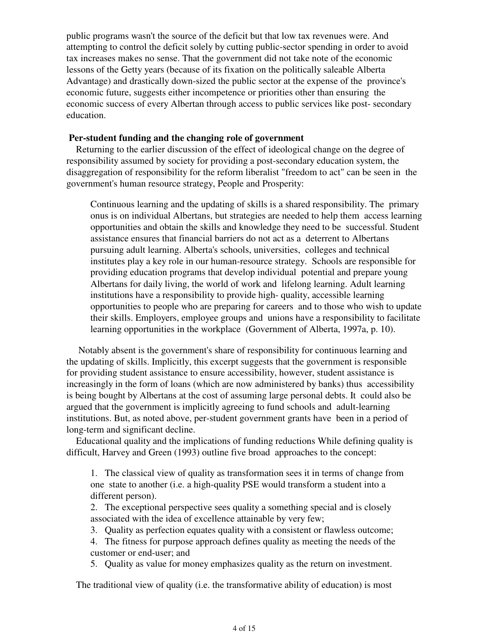public programs wasn't the source of the deficit but that low tax revenues were. And attempting to control the deficit solely by cutting public-sector spending in order to avoid tax increases makes no sense. That the government did not take note of the economic lessons of the Getty years (because of its fixation on the politically saleable Alberta Advantage) and drastically down-sized the public sector at the expense of the province's economic future, suggests either incompetence or priorities other than ensuring the economic success of every Albertan through access to public services like post- secondary education.

# **Per-student funding and the changing role of government**

 Returning to the earlier discussion of the effect of ideological change on the degree of responsibility assumed by society for providing a post-secondary education system, the disaggregation of responsibility for the reform liberalist "freedom to act" can be seen in the government's human resource strategy, People and Prosperity:

Continuous learning and the updating of skills is a shared responsibility. The primary onus is on individual Albertans, but strategies are needed to help them access learning opportunities and obtain the skills and knowledge they need to be successful. Student assistance ensures that financial barriers do not act as a deterrent to Albertans pursuing adult learning. Alberta's schools, universities, colleges and technical institutes play a key role in our human-resource strategy. Schools are responsible for providing education programs that develop individual potential and prepare young Albertans for daily living, the world of work and lifelong learning. Adult learning institutions have a responsibility to provide high- quality, accessible learning opportunities to people who are preparing for careers and to those who wish to update their skills. Employers, employee groups and unions have a responsibility to facilitate learning opportunities in the workplace (Government of Alberta, 1997a, p. 10).

 Notably absent is the government's share of responsibility for continuous learning and the updating of skills. Implicitly, this excerpt suggests that the government is responsible for providing student assistance to ensure accessibility, however, student assistance is increasingly in the form of loans (which are now administered by banks) thus accessibility is being bought by Albertans at the cost of assuming large personal debts. It could also be argued that the government is implicitly agreeing to fund schools and adult-learning institutions. But, as noted above, per-student government grants have been in a period of long-term and significant decline.

 Educational quality and the implications of funding reductions While defining quality is difficult, Harvey and Green (1993) outline five broad approaches to the concept:

1. The classical view of quality as transformation sees it in terms of change from one state to another (i.e. a high-quality PSE would transform a student into a different person).

2. The exceptional perspective sees quality a something special and is closely associated with the idea of excellence attainable by very few;

3. Quality as perfection equates quality with a consistent or flawless outcome;

4. The fitness for purpose approach defines quality as meeting the needs of the customer or end-user; and

5. Quality as value for money emphasizes quality as the return on investment.

The traditional view of quality (i.e. the transformative ability of education) is most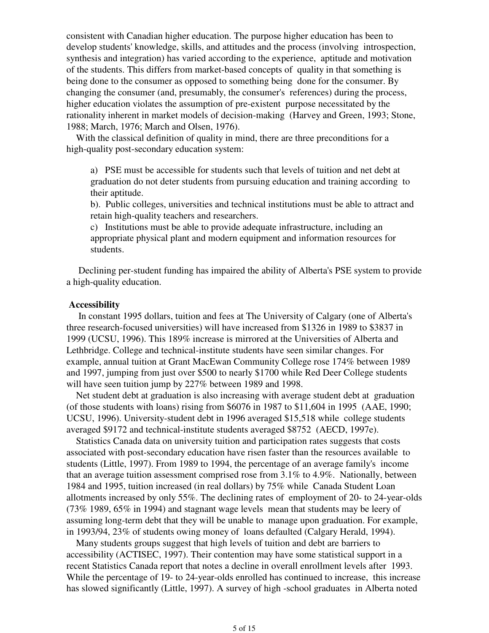consistent with Canadian higher education. The purpose higher education has been to develop students' knowledge, skills, and attitudes and the process (involving introspection, synthesis and integration) has varied according to the experience, aptitude and motivation of the students. This differs from market-based concepts of quality in that something is being done to the consumer as opposed to something being done for the consumer. By changing the consumer (and, presumably, the consumer's references) during the process, higher education violates the assumption of pre-existent purpose necessitated by the rationality inherent in market models of decision-making (Harvey and Green, 1993; Stone, 1988; March, 1976; March and Olsen, 1976).

 With the classical definition of quality in mind, there are three preconditions for a high-quality post-secondary education system:

a) PSE must be accessible for students such that levels of tuition and net debt at graduation do not deter students from pursuing education and training according to their aptitude.

b). Public colleges, universities and technical institutions must be able to attract and retain high-quality teachers and researchers.

c) Institutions must be able to provide adequate infrastructure, including an appropriate physical plant and modern equipment and information resources for students.

 Declining per-student funding has impaired the ability of Alberta's PSE system to provide a high-quality education.

### **Accessibility**

 In constant 1995 dollars, tuition and fees at The University of Calgary (one of Alberta's three research-focused universities) will have increased from \$1326 in 1989 to \$3837 in 1999 (UCSU, 1996). This 189% increase is mirrored at the Universities of Alberta and Lethbridge. College and technical-institute students have seen similar changes. For example, annual tuition at Grant MacEwan Community College rose 174% between 1989 and 1997, jumping from just over \$500 to nearly \$1700 while Red Deer College students will have seen tuition jump by 227% between 1989 and 1998.

 Net student debt at graduation is also increasing with average student debt at graduation (of those students with loans) rising from \$6076 in 1987 to \$11,604 in 1995 (AAE, 1990; UCSU, 1996). University-student debt in 1996 averaged \$15,518 while college students averaged \$9172 and technical-institute students averaged \$8752 (AECD, 1997e).

 Statistics Canada data on university tuition and participation rates suggests that costs associated with post-secondary education have risen faster than the resources available to students (Little, 1997). From 1989 to 1994, the percentage of an average family's income that an average tuition assessment comprised rose from 3.1% to 4.9%. Nationally, between 1984 and 1995, tuition increased (in real dollars) by 75% while Canada Student Loan allotments increased by only 55%. The declining rates of employment of 20- to 24-year-olds (73% 1989, 65% in 1994) and stagnant wage levels mean that students may be leery of assuming long-term debt that they will be unable to manage upon graduation. For example, in 1993/94, 23% of students owing money of loans defaulted (Calgary Herald, 1994).

 Many students groups suggest that high levels of tuition and debt are barriers to accessibility (ACTISEC, 1997). Their contention may have some statistical support in a recent Statistics Canada report that notes a decline in overall enrollment levels after 1993. While the percentage of 19- to 24-year-olds enrolled has continued to increase, this increase has slowed significantly (Little, 1997). A survey of high -school graduates in Alberta noted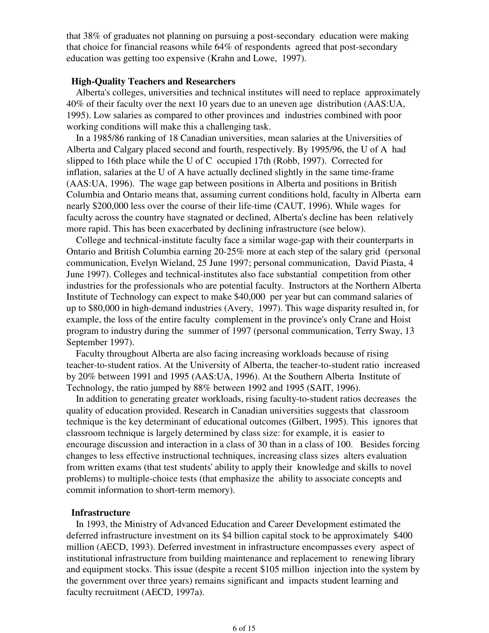that 38% of graduates not planning on pursuing a post-secondary education were making that choice for financial reasons while 64% of respondents agreed that post-secondary education was getting too expensive (Krahn and Lowe, 1997).

## **High-Quality Teachers and Researchers**

 Alberta's colleges, universities and technical institutes will need to replace approximately 40% of their faculty over the next 10 years due to an uneven age distribution (AAS:UA, 1995). Low salaries as compared to other provinces and industries combined with poor working conditions will make this a challenging task.

 In a 1985/86 ranking of 18 Canadian universities, mean salaries at the Universities of Alberta and Calgary placed second and fourth, respectively. By 1995/96, the U of A had slipped to 16th place while the U of C occupied 17th (Robb, 1997). Corrected for inflation, salaries at the U of A have actually declined slightly in the same time-frame (AAS:UA, 1996). The wage gap between positions in Alberta and positions in British Columbia and Ontario means that, assuming current conditions hold, faculty in Alberta earn nearly \$200,000 less over the course of their life-time (CAUT, 1996). While wages for faculty across the country have stagnated or declined, Alberta's decline has been relatively more rapid. This has been exacerbated by declining infrastructure (see below).

 College and technical-institute faculty face a similar wage-gap with their counterparts in Ontario and British Columbia earning 20-25% more at each step of the salary grid (personal communication, Evelyn Wieland, 25 June 1997; personal communication, David Piasta, 4 June 1997). Colleges and technical-institutes also face substantial competition from other industries for the professionals who are potential faculty. Instructors at the Northern Alberta Institute of Technology can expect to make \$40,000 per year but can command salaries of up to \$80,000 in high-demand industries (Avery, 1997). This wage disparity resulted in, for example, the loss of the entire faculty complement in the province's only Crane and Hoist program to industry during the summer of 1997 (personal communication, Terry Sway, 13 September 1997).

 Faculty throughout Alberta are also facing increasing workloads because of rising teacher-to-student ratios. At the University of Alberta, the teacher-to-student ratio increased by 20% between 1991 and 1995 (AAS:UA, 1996). At the Southern Alberta Institute of Technology, the ratio jumped by 88% between 1992 and 1995 (SAIT, 1996).

 In addition to generating greater workloads, rising faculty-to-student ratios decreases the quality of education provided. Research in Canadian universities suggests that classroom technique is the key determinant of educational outcomes (Gilbert, 1995). This ignores that classroom technique is largely determined by class size: for example, it is easier to encourage discussion and interaction in a class of 30 than in a class of 100. Besides forcing changes to less effective instructional techniques, increasing class sizes alters evaluation from written exams (that test students' ability to apply their knowledge and skills to novel problems) to multiple-choice tests (that emphasize the ability to associate concepts and commit information to short-term memory).

#### **Infrastructure**

 In 1993, the Ministry of Advanced Education and Career Development estimated the deferred infrastructure investment on its \$4 billion capital stock to be approximately \$400 million (AECD, 1993). Deferred investment in infrastructure encompasses every aspect of institutional infrastructure from building maintenance and replacement to renewing library and equipment stocks. This issue (despite a recent \$105 million injection into the system by the government over three years) remains significant and impacts student learning and faculty recruitment (AECD, 1997a).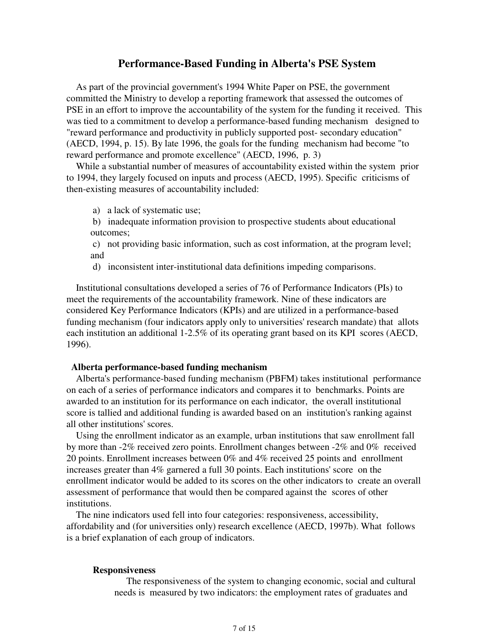## **Performance-Based Funding in Alberta's PSE System**

 As part of the provincial government's 1994 White Paper on PSE, the government committed the Ministry to develop a reporting framework that assessed the outcomes of PSE in an effort to improve the accountability of the system for the funding it received. This was tied to a commitment to develop a performance-based funding mechanism designed to "reward performance and productivity in publicly supported post- secondary education" (AECD, 1994, p. 15). By late 1996, the goals for the funding mechanism had become "to reward performance and promote excellence" (AECD, 1996, p. 3)

 While a substantial number of measures of accountability existed within the system prior to 1994, they largely focused on inputs and process (AECD, 1995). Specific criticisms of then-existing measures of accountability included:

- a) a lack of systematic use;
- b) inadequate information provision to prospective students about educational outcomes;

 c) not providing basic information, such as cost information, at the program level; and

d) inconsistent inter-institutional data definitions impeding comparisons.

 Institutional consultations developed a series of 76 of Performance Indicators (PIs) to meet the requirements of the accountability framework. Nine of these indicators are considered Key Performance Indicators (KPIs) and are utilized in a performance-based funding mechanism (four indicators apply only to universities' research mandate) that allots each institution an additional 1-2.5% of its operating grant based on its KPI scores (AECD, 1996).

#### **Alberta performance-based funding mechanism**

 Alberta's performance-based funding mechanism (PBFM) takes institutional performance on each of a series of performance indicators and compares it to benchmarks. Points are awarded to an institution for its performance on each indicator, the overall institutional score is tallied and additional funding is awarded based on an institution's ranking against all other institutions' scores.

 Using the enrollment indicator as an example, urban institutions that saw enrollment fall by more than -2% received zero points. Enrollment changes between -2% and 0% received 20 points. Enrollment increases between 0% and 4% received 25 points and enrollment increases greater than 4% garnered a full 30 points. Each institutions' score on the enrollment indicator would be added to its scores on the other indicators to create an overall assessment of performance that would then be compared against the scores of other institutions.

 The nine indicators used fell into four categories: responsiveness, accessibility, affordability and (for universities only) research excellence (AECD, 1997b). What follows is a brief explanation of each group of indicators.

#### **Responsiveness**

 The responsiveness of the system to changing economic, social and cultural needs is measured by two indicators: the employment rates of graduates and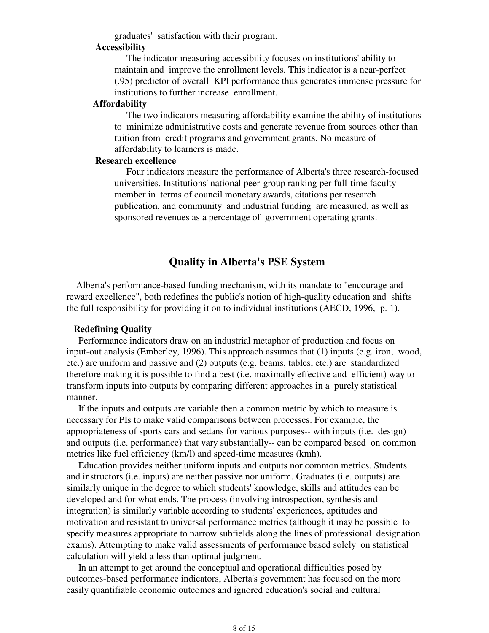graduates' satisfaction with their program.

#### **Accessibility**

 The indicator measuring accessibility focuses on institutions' ability to maintain and improve the enrollment levels. This indicator is a near-perfect (.95) predictor of overall KPI performance thus generates immense pressure for institutions to further increase enrollment.

#### **Affordability**

 The two indicators measuring affordability examine the ability of institutions to minimize administrative costs and generate revenue from sources other than tuition from credit programs and government grants. No measure of affordability to learners is made.

### **Research excellence**

 Four indicators measure the performance of Alberta's three research-focused universities. Institutions' national peer-group ranking per full-time faculty member in terms of council monetary awards, citations per research publication, and community and industrial funding are measured, as well as sponsored revenues as a percentage of government operating grants.

# **Quality in Alberta's PSE System**

 Alberta's performance-based funding mechanism, with its mandate to "encourage and reward excellence", both redefines the public's notion of high-quality education and shifts the full responsibility for providing it on to individual institutions (AECD, 1996, p. 1).

## **Redefining Quality**

 Performance indicators draw on an industrial metaphor of production and focus on input-out analysis (Emberley, 1996). This approach assumes that (1) inputs (e.g. iron, wood, etc.) are uniform and passive and (2) outputs (e.g. beams, tables, etc.) are standardized therefore making it is possible to find a best (i.e. maximally effective and efficient) way to transform inputs into outputs by comparing different approaches in a purely statistical manner.

 If the inputs and outputs are variable then a common metric by which to measure is necessary for PIs to make valid comparisons between processes. For example, the appropriateness of sports cars and sedans for various purposes-- with inputs (i.e. design) and outputs (i.e. performance) that vary substantially-- can be compared based on common metrics like fuel efficiency (km/l) and speed-time measures (kmh).

 Education provides neither uniform inputs and outputs nor common metrics. Students and instructors (i.e. inputs) are neither passive nor uniform. Graduates (i.e. outputs) are similarly unique in the degree to which students' knowledge, skills and attitudes can be developed and for what ends. The process (involving introspection, synthesis and integration) is similarly variable according to students' experiences, aptitudes and motivation and resistant to universal performance metrics (although it may be possible to specify measures appropriate to narrow subfields along the lines of professional designation exams). Attempting to make valid assessments of performance based solely on statistical calculation will yield a less than optimal judgment.

 In an attempt to get around the conceptual and operational difficulties posed by outcomes-based performance indicators, Alberta's government has focused on the more easily quantifiable economic outcomes and ignored education's social and cultural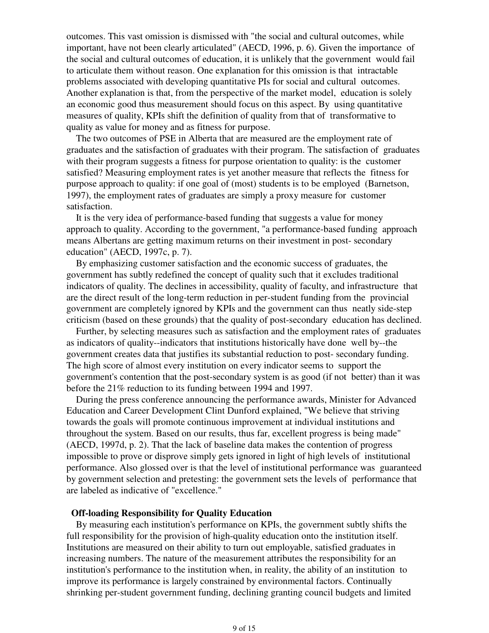outcomes. This vast omission is dismissed with "the social and cultural outcomes, while important, have not been clearly articulated" (AECD, 1996, p. 6). Given the importance of the social and cultural outcomes of education, it is unlikely that the government would fail to articulate them without reason. One explanation for this omission is that intractable problems associated with developing quantitative PIs for social and cultural outcomes. Another explanation is that, from the perspective of the market model, education is solely an economic good thus measurement should focus on this aspect. By using quantitative measures of quality, KPIs shift the definition of quality from that of transformative to quality as value for money and as fitness for purpose.

 The two outcomes of PSE in Alberta that are measured are the employment rate of graduates and the satisfaction of graduates with their program. The satisfaction of graduates with their program suggests a fitness for purpose orientation to quality: is the customer satisfied? Measuring employment rates is yet another measure that reflects the fitness for purpose approach to quality: if one goal of (most) students is to be employed (Barnetson, 1997), the employment rates of graduates are simply a proxy measure for customer satisfaction.

 It is the very idea of performance-based funding that suggests a value for money approach to quality. According to the government, "a performance-based funding approach means Albertans are getting maximum returns on their investment in post- secondary education" (AECD, 1997c, p. 7).

 By emphasizing customer satisfaction and the economic success of graduates, the government has subtly redefined the concept of quality such that it excludes traditional indicators of quality. The declines in accessibility, quality of faculty, and infrastructure that are the direct result of the long-term reduction in per-student funding from the provincial government are completely ignored by KPIs and the government can thus neatly side-step criticism (based on these grounds) that the quality of post-secondary education has declined.

 Further, by selecting measures such as satisfaction and the employment rates of graduates as indicators of quality--indicators that institutions historically have done well by--the government creates data that justifies its substantial reduction to post- secondary funding. The high score of almost every institution on every indicator seems to support the government's contention that the post-secondary system is as good (if not better) than it was before the 21% reduction to its funding between 1994 and 1997.

 During the press conference announcing the performance awards, Minister for Advanced Education and Career Development Clint Dunford explained, "We believe that striving towards the goals will promote continuous improvement at individual institutions and throughout the system. Based on our results, thus far, excellent progress is being made" (AECD, 1997d, p. 2). That the lack of baseline data makes the contention of progress impossible to prove or disprove simply gets ignored in light of high levels of institutional performance. Also glossed over is that the level of institutional performance was guaranteed by government selection and pretesting: the government sets the levels of performance that are labeled as indicative of "excellence."

#### **Off-loading Responsibility for Quality Education**

 By measuring each institution's performance on KPIs, the government subtly shifts the full responsibility for the provision of high-quality education onto the institution itself. Institutions are measured on their ability to turn out employable, satisfied graduates in increasing numbers. The nature of the measurement attributes the responsibility for an institution's performance to the institution when, in reality, the ability of an institution to improve its performance is largely constrained by environmental factors. Continually shrinking per-student government funding, declining granting council budgets and limited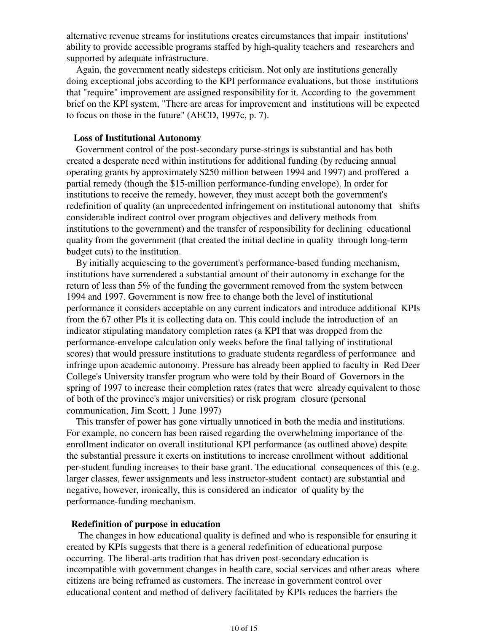alternative revenue streams for institutions creates circumstances that impair institutions' ability to provide accessible programs staffed by high-quality teachers and researchers and supported by adequate infrastructure.

 Again, the government neatly sidesteps criticism. Not only are institutions generally doing exceptional jobs according to the KPI performance evaluations, but those institutions that "require" improvement are assigned responsibility for it. According to the government brief on the KPI system, "There are areas for improvement and institutions will be expected to focus on those in the future" (AECD, 1997c, p. 7).

## **Loss of Institutional Autonomy**

 Government control of the post-secondary purse-strings is substantial and has both created a desperate need within institutions for additional funding (by reducing annual operating grants by approximately \$250 million between 1994 and 1997) and proffered a partial remedy (though the \$15-million performance-funding envelope). In order for institutions to receive the remedy, however, they must accept both the government's redefinition of quality (an unprecedented infringement on institutional autonomy that shifts considerable indirect control over program objectives and delivery methods from institutions to the government) and the transfer of responsibility for declining educational quality from the government (that created the initial decline in quality through long-term budget cuts) to the institution.

 By initially acquiescing to the government's performance-based funding mechanism, institutions have surrendered a substantial amount of their autonomy in exchange for the return of less than 5% of the funding the government removed from the system between 1994 and 1997. Government is now free to change both the level of institutional performance it considers acceptable on any current indicators and introduce additional KPIs from the 67 other PIs it is collecting data on. This could include the introduction of an indicator stipulating mandatory completion rates (a KPI that was dropped from the performance-envelope calculation only weeks before the final tallying of institutional scores) that would pressure institutions to graduate students regardless of performance and infringe upon academic autonomy. Pressure has already been applied to faculty in Red Deer College's University transfer program who were told by their Board of Governors in the spring of 1997 to increase their completion rates (rates that were already equivalent to those of both of the province's major universities) or risk program closure (personal communication, Jim Scott, 1 June 1997)

 This transfer of power has gone virtually unnoticed in both the media and institutions. For example, no concern has been raised regarding the overwhelming importance of the enrollment indicator on overall institutional KPI performance (as outlined above) despite the substantial pressure it exerts on institutions to increase enrollment without additional per-student funding increases to their base grant. The educational consequences of this (e.g. larger classes, fewer assignments and less instructor-student contact) are substantial and negative, however, ironically, this is considered an indicator of quality by the performance-funding mechanism.

## **Redefinition of purpose in education**

 The changes in how educational quality is defined and who is responsible for ensuring it created by KPIs suggests that there is a general redefinition of educational purpose occurring. The liberal-arts tradition that has driven post-secondary education is incompatible with government changes in health care, social services and other areas where citizens are being reframed as customers. The increase in government control over educational content and method of delivery facilitated by KPIs reduces the barriers the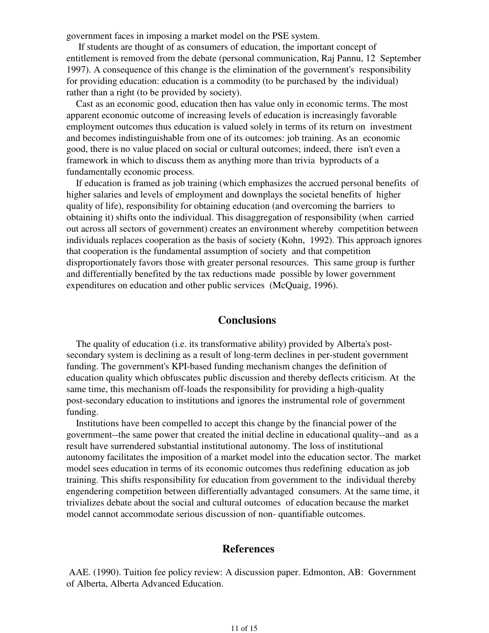government faces in imposing a market model on the PSE system.

 If students are thought of as consumers of education, the important concept of entitlement is removed from the debate (personal communication, Raj Pannu, 12 September 1997). A consequence of this change is the elimination of the government's responsibility for providing education: education is a commodity (to be purchased by the individual) rather than a right (to be provided by society).

 Cast as an economic good, education then has value only in economic terms. The most apparent economic outcome of increasing levels of education is increasingly favorable employment outcomes thus education is valued solely in terms of its return on investment and becomes indistinguishable from one of its outcomes: job training. As an economic good, there is no value placed on social or cultural outcomes; indeed, there isn't even a framework in which to discuss them as anything more than trivia byproducts of a fundamentally economic process.

 If education is framed as job training (which emphasizes the accrued personal benefits of higher salaries and levels of employment and downplays the societal benefits of higher quality of life), responsibility for obtaining education (and overcoming the barriers to obtaining it) shifts onto the individual. This disaggregation of responsibility (when carried out across all sectors of government) creates an environment whereby competition between individuals replaces cooperation as the basis of society (Kohn, 1992). This approach ignores that cooperation is the fundamental assumption of society and that competition disproportionately favors those with greater personal resources. This same group is further and differentially benefited by the tax reductions made possible by lower government expenditures on education and other public services (McQuaig, 1996).

# **Conclusions**

 The quality of education (i.e. its transformative ability) provided by Alberta's postsecondary system is declining as a result of long-term declines in per-student government funding. The government's KPI-based funding mechanism changes the definition of education quality which obfuscates public discussion and thereby deflects criticism. At the same time, this mechanism off-loads the responsibility for providing a high-quality post-secondary education to institutions and ignores the instrumental role of government funding.

 Institutions have been compelled to accept this change by the financial power of the government--the same power that created the initial decline in educational quality--and as a result have surrendered substantial institutional autonomy. The loss of institutional autonomy facilitates the imposition of a market model into the education sector. The market model sees education in terms of its economic outcomes thus redefining education as job training. This shifts responsibility for education from government to the individual thereby engendering competition between differentially advantaged consumers. At the same time, it trivializes debate about the social and cultural outcomes of education because the market model cannot accommodate serious discussion of non- quantifiable outcomes.

# **References**

 AAE. (1990). Tuition fee policy review: A discussion paper. Edmonton, AB: Government of Alberta, Alberta Advanced Education.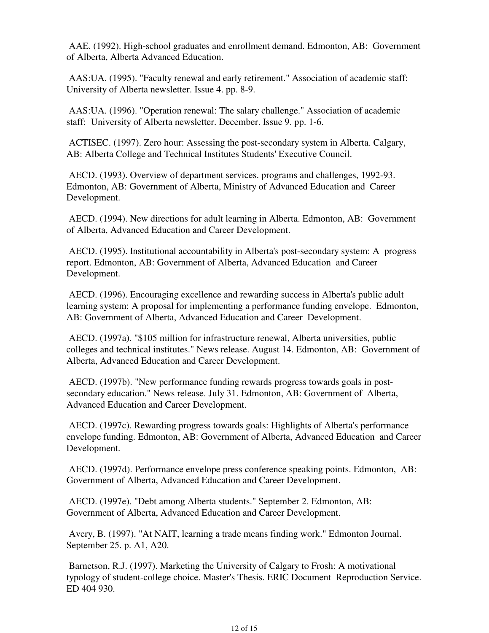AAE. (1992). High-school graduates and enrollment demand. Edmonton, AB: Government of Alberta, Alberta Advanced Education.

 AAS:UA. (1995). "Faculty renewal and early retirement." Association of academic staff: University of Alberta newsletter. Issue 4. pp. 8-9.

 AAS:UA. (1996). "Operation renewal: The salary challenge." Association of academic staff: University of Alberta newsletter. December. Issue 9. pp. 1-6.

 ACTISEC. (1997). Zero hour: Assessing the post-secondary system in Alberta. Calgary, AB: Alberta College and Technical Institutes Students' Executive Council.

 AECD. (1993). Overview of department services. programs and challenges, 1992-93. Edmonton, AB: Government of Alberta, Ministry of Advanced Education and Career Development.

 AECD. (1994). New directions for adult learning in Alberta. Edmonton, AB: Government of Alberta, Advanced Education and Career Development.

 AECD. (1995). Institutional accountability in Alberta's post-secondary system: A progress report. Edmonton, AB: Government of Alberta, Advanced Education and Career Development.

 AECD. (1996). Encouraging excellence and rewarding success in Alberta's public adult learning system: A proposal for implementing a performance funding envelope. Edmonton, AB: Government of Alberta, Advanced Education and Career Development.

 AECD. (1997a). "\$105 million for infrastructure renewal, Alberta universities, public colleges and technical institutes." News release. August 14. Edmonton, AB: Government of Alberta, Advanced Education and Career Development.

 AECD. (1997b). "New performance funding rewards progress towards goals in postsecondary education." News release. July 31. Edmonton, AB: Government of Alberta, Advanced Education and Career Development.

 AECD. (1997c). Rewarding progress towards goals: Highlights of Alberta's performance envelope funding. Edmonton, AB: Government of Alberta, Advanced Education and Career Development.

 AECD. (1997d). Performance envelope press conference speaking points. Edmonton, AB: Government of Alberta, Advanced Education and Career Development.

 AECD. (1997e). "Debt among Alberta students." September 2. Edmonton, AB: Government of Alberta, Advanced Education and Career Development.

 Avery, B. (1997). "At NAIT, learning a trade means finding work." Edmonton Journal. September 25. p. A1, A20.

 Barnetson, R.J. (1997). Marketing the University of Calgary to Frosh: A motivational typology of student-college choice. Master's Thesis. ERIC Document Reproduction Service. ED 404 930.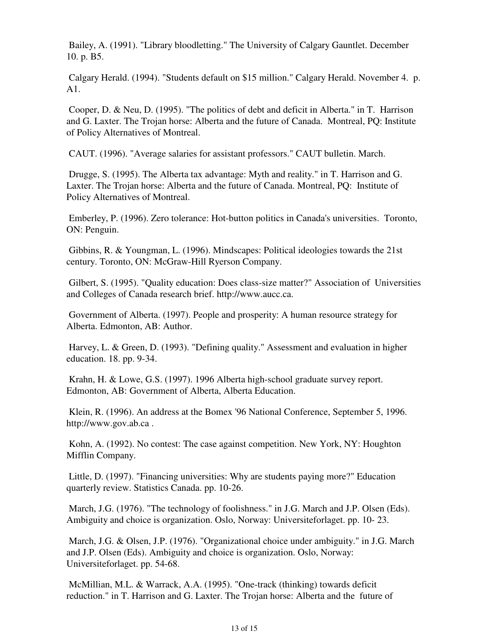Bailey, A. (1991). "Library bloodletting." The University of Calgary Gauntlet. December 10. p. B5.

 Calgary Herald. (1994). "Students default on \$15 million." Calgary Herald. November 4. p. A1.

 Cooper, D. & Neu, D. (1995). "The politics of debt and deficit in Alberta." in T. Harrison and G. Laxter. The Trojan horse: Alberta and the future of Canada. Montreal, PQ: Institute of Policy Alternatives of Montreal.

CAUT. (1996). "Average salaries for assistant professors." CAUT bulletin. March.

 Drugge, S. (1995). The Alberta tax advantage: Myth and reality." in T. Harrison and G. Laxter. The Trojan horse: Alberta and the future of Canada. Montreal, PQ: Institute of Policy Alternatives of Montreal.

 Emberley, P. (1996). Zero tolerance: Hot-button politics in Canada's universities. Toronto, ON: Penguin.

 Gibbins, R. & Youngman, L. (1996). Mindscapes: Political ideologies towards the 21st century. Toronto, ON: McGraw-Hill Ryerson Company.

 Gilbert, S. (1995). "Quality education: Does class-size matter?" Association of Universities and Colleges of Canada research brief. http://www.aucc.ca.

 Government of Alberta. (1997). People and prosperity: A human resource strategy for Alberta. Edmonton, AB: Author.

 Harvey, L. & Green, D. (1993). "Defining quality." Assessment and evaluation in higher education. 18. pp. 9-34.

 Krahn, H. & Lowe, G.S. (1997). 1996 Alberta high-school graduate survey report. Edmonton, AB: Government of Alberta, Alberta Education.

 Klein, R. (1996). An address at the Bomex '96 National Conference, September 5, 1996. http://www.gov.ab.ca .

 Kohn, A. (1992). No contest: The case against competition. New York, NY: Houghton Mifflin Company.

 Little, D. (1997). "Financing universities: Why are students paying more?" Education quarterly review. Statistics Canada. pp. 10-26.

 March, J.G. (1976). "The technology of foolishness." in J.G. March and J.P. Olsen (Eds). Ambiguity and choice is organization. Oslo, Norway: Universiteforlaget. pp. 10- 23.

 March, J.G. & Olsen, J.P. (1976). "Organizational choice under ambiguity." in J.G. March and J.P. Olsen (Eds). Ambiguity and choice is organization. Oslo, Norway: Universiteforlaget. pp. 54-68.

 McMillian, M.L. & Warrack, A.A. (1995). "One-track (thinking) towards deficit reduction." in T. Harrison and G. Laxter. The Trojan horse: Alberta and the future of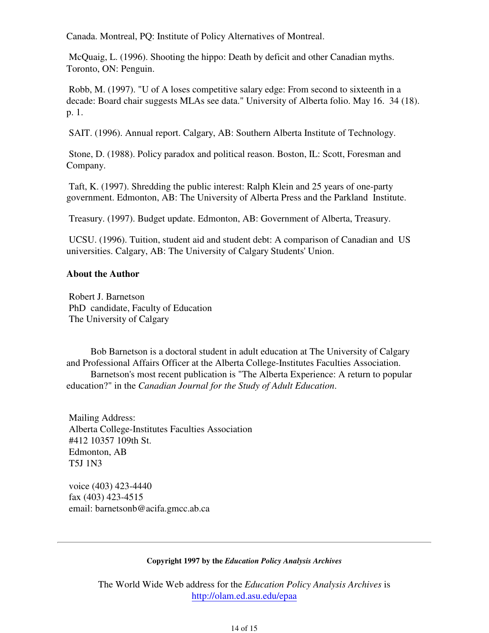Canada. Montreal, PQ: Institute of Policy Alternatives of Montreal.

 McQuaig, L. (1996). Shooting the hippo: Death by deficit and other Canadian myths. Toronto, ON: Penguin.

 Robb, M. (1997). "U of A loses competitive salary edge: From second to sixteenth in a decade: Board chair suggests MLAs see data." University of Alberta folio. May 16. 34 (18). p. 1.

SAIT. (1996). Annual report. Calgary, AB: Southern Alberta Institute of Technology.

 Stone, D. (1988). Policy paradox and political reason. Boston, IL: Scott, Foresman and Company.

 Taft, K. (1997). Shredding the public interest: Ralph Klein and 25 years of one-party government. Edmonton, AB: The University of Alberta Press and the Parkland Institute.

Treasury. (1997). Budget update. Edmonton, AB: Government of Alberta, Treasury.

 UCSU. (1996). Tuition, student aid and student debt: A comparison of Canadian and US universities. Calgary, AB: The University of Calgary Students' Union.

## **About the Author**

 Robert J. Barnetson PhD candidate, Faculty of Education The University of Calgary

Bob Barnetson is a doctoral student in adult education at The University of Calgary and Professional Affairs Officer at the Alberta College-Institutes Faculties Association. Barnetson's most recent publication is "The Alberta Experience: A return to popular

education?" in the *Canadian Journal for the Study of Adult Education*.

 Mailing Address: Alberta College-Institutes Faculties Association #412 10357 109th St. Edmonton, AB T5J 1N3

 voice (403) 423-4440 fax (403) 423-4515 email: barnetsonb@acifa.gmcc.ab.ca

## **Copyright 1997 by the** *Education Policy Analysis Archives*

The World Wide Web address for the *Education Policy Analysis Archives* is http://olam.ed.asu.edu/epaa